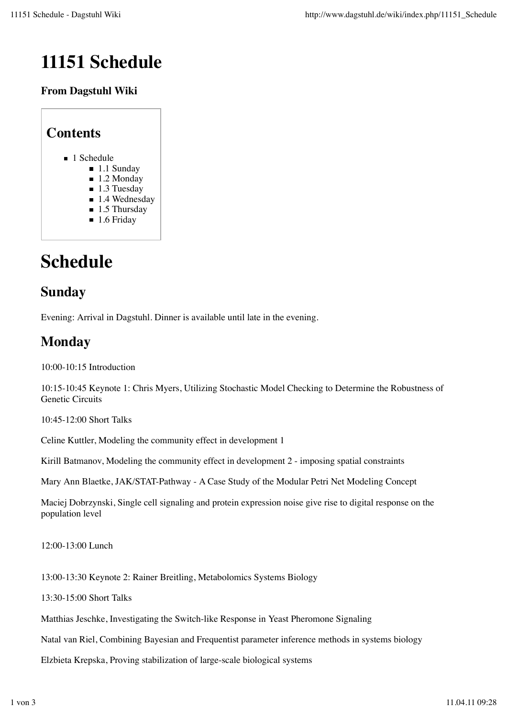# **11151 Schedule**

#### **From Dagstuhl Wiki**

| <b>Contents</b>              |
|------------------------------|
| ■ 1 Schedule                 |
| $\blacksquare$ 1.1 Sunday    |
| $\blacksquare$ 1.2 Monday    |
| $\blacksquare$ 1.3 Tuesday   |
| $\blacksquare$ 1.4 Wednesday |
| $\blacksquare$ 1.5 Thursday  |
| $\blacksquare$ 1.6 Friday    |
|                              |

# **Schedule**

# **Sunday**

Evening: Arrival in Dagstuhl. Dinner is available until late in the evening.

# **Monday**

10:00-10:15 Introduction

10:15-10:45 Keynote 1: Chris Myers, Utilizing Stochastic Model Checking to Determine the Robustness of Genetic Circuits

10:45-12:00 Short Talks

Celine Kuttler, Modeling the community effect in development 1

Kirill Batmanov, Modeling the community effect in development 2 - imposing spatial constraints

Mary Ann Blaetke, JAK/STAT-Pathway - A Case Study of the Modular Petri Net Modeling Concept

Maciej Dobrzynski, Single cell signaling and protein expression noise give rise to digital response on the population level

12:00-13:00 Lunch

13:00-13:30 Keynote 2: Rainer Breitling, Metabolomics Systems Biology

13:30-15:00 Short Talks

Matthias Jeschke, Investigating the Switch-like Response in Yeast Pheromone Signaling

Natal van Riel, Combining Bayesian and Frequentist parameter inference methods in systems biology

Elzbieta Krepska, Proving stabilization of large-scale biological systems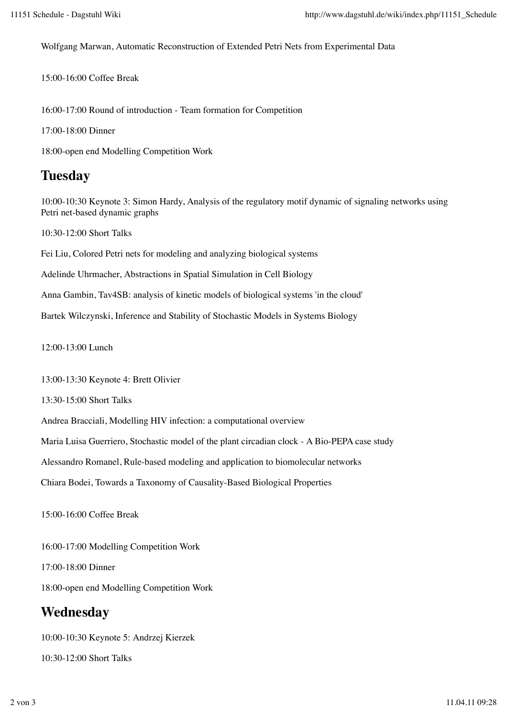Wolfgang Marwan, Automatic Reconstruction of Extended Petri Nets from Experimental Data

15:00-16:00 Coffee Break

16:00-17:00 Round of introduction - Team formation for Competition

17:00-18:00 Dinner

18:00-open end Modelling Competition Work

### **Tuesday**

10:00-10:30 Keynote 3: Simon Hardy, Analysis of the regulatory motif dynamic of signaling networks using Petri net-based dynamic graphs

10:30-12:00 Short Talks

Fei Liu, Colored Petri nets for modeling and analyzing biological systems

Adelinde Uhrmacher, Abstractions in Spatial Simulation in Cell Biology

Anna Gambin, Tav4SB: analysis of kinetic models of biological systems 'in the cloud'

Bartek Wilczynski, Inference and Stability of Stochastic Models in Systems Biology

12:00-13:00 Lunch

13:00-13:30 Keynote 4: Brett Olivier

13:30-15:00 Short Talks

Andrea Bracciali, Modelling HIV infection: a computational overview

Maria Luisa Guerriero, Stochastic model of the plant circadian clock - A Bio-PEPA case study

Alessandro Romanel, Rule-based modeling and application to biomolecular networks

Chiara Bodei, Towards a Taxonomy of Causality-Based Biological Properties

15:00-16:00 Coffee Break

16:00-17:00 Modelling Competition Work

17:00-18:00 Dinner

18:00-open end Modelling Competition Work

## **Wednesday**

10:00-10:30 Keynote 5: Andrzej Kierzek 10:30-12:00 Short Talks